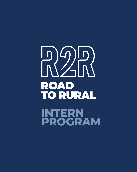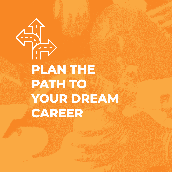**PLAN THE PATH TO YOUR DREAM CAREER**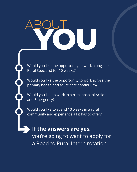# **YOU** ABOUT

Would you like the opportunity to work alongside a Rural Specialist for 10 weeks?

Would you like the opportunity to work across the primary health and acute care continuum?

Would you like to work in a rural hospital Accident and Emergency?

Would you like to spend 10 weeks in a rural community and experience all it has to offer?

### **If the answers are yes**,

you're going to want to apply for a Road to Rural Intern rotation.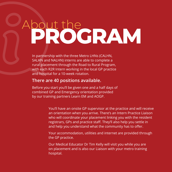## **PROGRAM** About the

In partnership with the three Metro LHNs (CALHN, SALHN and NALHN) interns are able to complete a rural placement through the Road to Rural Program, with each R2R Intern working in the local GP practice and hospital for a 10-week rotation.

#### **There are 40 positions available.**

Before you start you'll be given one and a half days of combined GP and Emergency orientation provided by our training partners Learn EM and AOGP.

> You'll have an onsite GP supervisor at the practice and will receive an orientation when you arrive. There's an Intern Practice Liaison who will coordinate your placement linking you with the resident registrars, GPs and practice staff. They'll also help you settle in and help you understand what the community has to offer.

Your accommodation, utilities and internet are provided through the GP practice.

Our Medical Educator Dr Tim Kelly will visit you while you are on placement and is also our Liaison with your metro training hospital.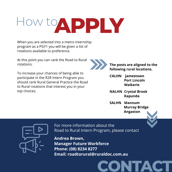How to APPLY

When you are selected into a metro internship program as a PGY1 you will be given a list of rotations available to preference.

At this point you can rank the Road to Rural rotations.

To increase your chances of being able to participate in the R2R Intern Program you should rank Rural General Practice the Road to Rural rotations that interest you in your top choices.



**The posts are aligned to the following rural locations.**

**CALHN Jamestown Port Lincoln Waikerie**

**NALHN Crystal Brook Kapunda**

**SALHN Mannum Murray Bridge Angaston**

**CONTACT**



For more information about the Road to Rural Intern Program, please contact

**Andrea Brown, Manager Future Workforce Phone: (08) 8234 8277 Email: roadtorural@ruraldoc.com.au**